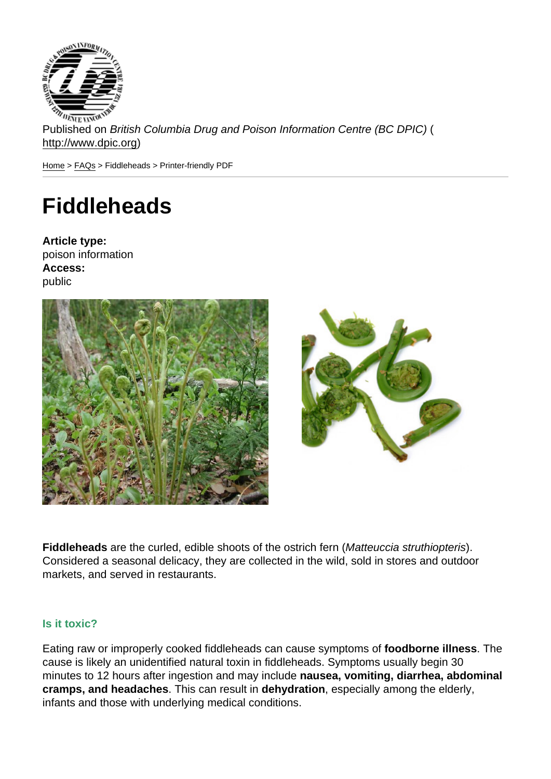Published on British Columbia Drug and Poison Information Centre (BC DPIC) ( http://www.dpic.org)

Home > FAQs > Fiddleheads > Printer-friendly PDF

# **[Fid](http://www.dpic.org/)[dle](http://www.dpic.org/faq)heads**

Article type: poison information Access: public

Fiddleheads are the curled, edible shoots of the ostrich fern (Matteuccia struthiopteris). Considered a seasonal delicacy, they are collected in the wild, sold in stores and outdoor markets, and served in restaurants.

# Is it toxic?

Eating raw or improperly cooked fiddleheads can cause symptoms of foodborne illness . The cause is likely an unidentified natural toxin in fiddleheads. Symptoms usually begin 30 minutes to 12 hours after ingestion and may include nausea, vomiting, diarrhea, abdominal cramps, and headaches . This can result in dehydration , especially among the elderly, infants and those with underlying medical conditions.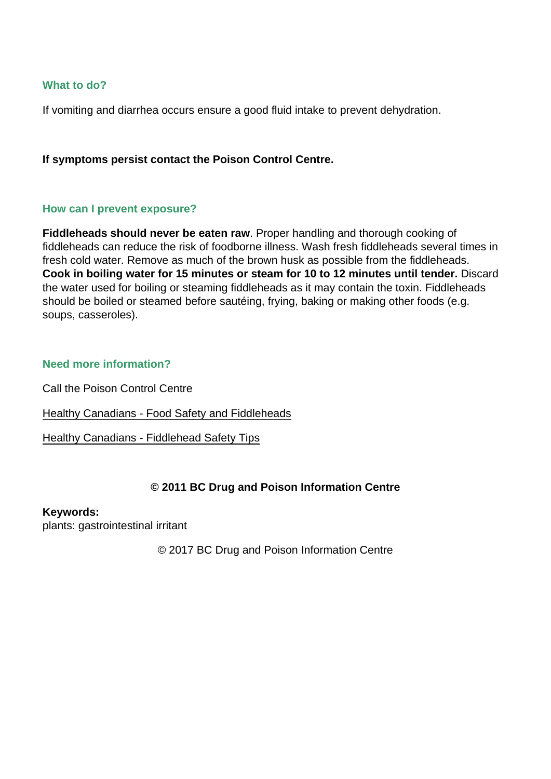### What to do?

If vomiting and diarrhea occurs ensure a good fluid intake to prevent dehydration.

If symptoms persist contact the Poison Control Centre.

### How can I prevent exposure?

Fiddleheads should never be eaten raw . Proper handling and thorough cooking of fiddleheads can reduce the risk of foodborne illness. Wash fresh fiddleheads several times in fresh cold water. Remove as much of the brown husk as possible from the fiddleheads. Cook in boiling water for 15 minutes or steam for 10 to 12 minutes until tender. Discard the water used for boiling or steaming fiddleheads as it may contain the toxin. Fiddleheads should be boiled or steamed before sautéing, frying, baking or making other foods (e.g. soups, casseroles).

#### Need more information?

Call the Poison Control Centre

Healthy Canadians - Food Safety and Fiddleheads

Healthy Canadians - Fiddlehead Safety Tips

# [© 2011 BC Drug and P](http://www.healthycanadians.gc.ca/eating-nutrition/safety-salubrite/fiddlehead-fougere-eng.php)oison Information Centre

Keywords: plants: gastrointestinal irritant

© 2017 BC Drug and Poison Information Centre